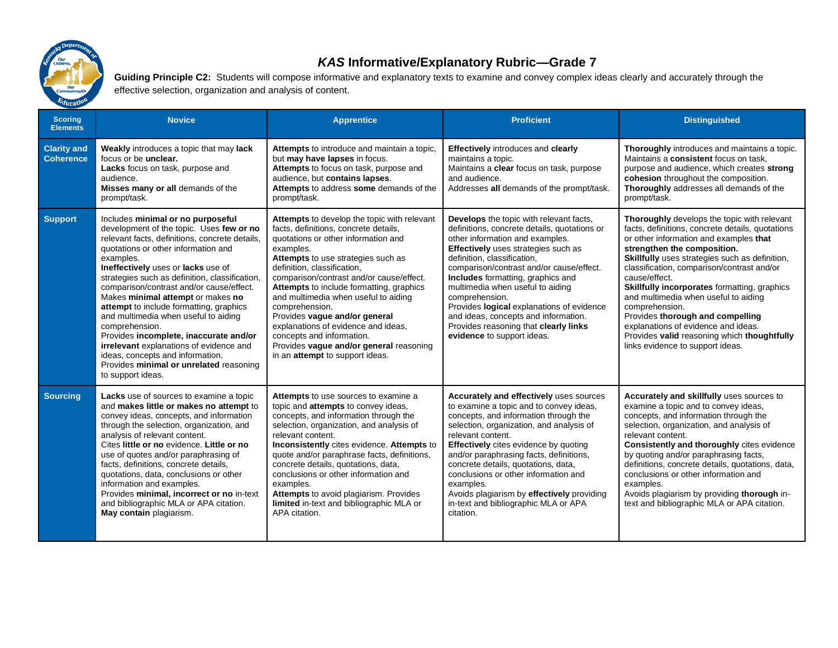

## *KAS* **Informative/Explanatory Rubric—Grade 7**

Guiding Principle C2: Students will compose informative and explanatory texts to examine and convey complex ideas clearly and accurately through the effective selection, organization and analysis of content.

| <b>Scoring</b><br><b>Elements</b>      | <b>Novice</b>                                                                                                                                                                                                                                                                                                                                                                                                                                                                                                                                                                                                                                              | <b>Apprentice</b>                                                                                                                                                                                                                                                                                                                                                                                                                                                                                                                                         | <b>Proficient</b>                                                                                                                                                                                                                                                                                                                                                                                                                                                                                                 | <b>Distinguished</b>                                                                                                                                                                                                                                                                                                                                                                                                                                                                                                                                              |
|----------------------------------------|------------------------------------------------------------------------------------------------------------------------------------------------------------------------------------------------------------------------------------------------------------------------------------------------------------------------------------------------------------------------------------------------------------------------------------------------------------------------------------------------------------------------------------------------------------------------------------------------------------------------------------------------------------|-----------------------------------------------------------------------------------------------------------------------------------------------------------------------------------------------------------------------------------------------------------------------------------------------------------------------------------------------------------------------------------------------------------------------------------------------------------------------------------------------------------------------------------------------------------|-------------------------------------------------------------------------------------------------------------------------------------------------------------------------------------------------------------------------------------------------------------------------------------------------------------------------------------------------------------------------------------------------------------------------------------------------------------------------------------------------------------------|-------------------------------------------------------------------------------------------------------------------------------------------------------------------------------------------------------------------------------------------------------------------------------------------------------------------------------------------------------------------------------------------------------------------------------------------------------------------------------------------------------------------------------------------------------------------|
| <b>Clarity and</b><br><b>Coherence</b> | <b>Weakly</b> introduces a topic that may lack<br>focus or be unclear.<br>Lacks focus on task, purpose and<br>audience.<br>Misses many or all demands of the<br>prompt/task.                                                                                                                                                                                                                                                                                                                                                                                                                                                                               | Attempts to introduce and maintain a topic,<br>but may have lapses in focus.<br>Attempts to focus on task, purpose and<br>audience, but contains lapses.<br>Attempts to address some demands of the<br>prompt/task.                                                                                                                                                                                                                                                                                                                                       | <b>Effectively</b> introduces and clearly<br>maintains a topic.<br>Maintains a clear focus on task, purpose<br>and audience.<br>Addresses all demands of the prompt/task.                                                                                                                                                                                                                                                                                                                                         | Thoroughly introduces and maintains a topic.<br>Maintains a consistent focus on task.<br>purpose and audience, which creates strong<br>cohesion throughout the composition.<br>Thoroughly addresses all demands of the<br>prompt/task.                                                                                                                                                                                                                                                                                                                            |
| <b>Support</b>                         | Includes minimal or no purposeful<br>development of the topic. Uses few or no<br>relevant facts, definitions, concrete details,<br>quotations or other information and<br>examples.<br>Ineffectively uses or lacks use of<br>strategies such as definition, classification,<br>comparison/contrast and/or cause/effect.<br>Makes minimal attempt or makes no<br>attempt to include formatting, graphics<br>and multimedia when useful to aiding<br>comprehension.<br>Provides incomplete, inaccurate and/or<br>irrelevant explanations of evidence and<br>ideas, concepts and information.<br>Provides minimal or unrelated reasoning<br>to support ideas. | <b>Attempts</b> to develop the topic with relevant<br>facts, definitions, concrete details,<br>quotations or other information and<br>examples.<br>Attempts to use strategies such as<br>definition, classification,<br>comparison/contrast and/or cause/effect.<br>Attempts to include formatting, graphics<br>and multimedia when useful to aiding<br>comprehension.<br>Provides vague and/or general<br>explanations of evidence and ideas,<br>concepts and information.<br>Provides vague and/or general reasoning<br>in an attempt to support ideas. | Develops the topic with relevant facts,<br>definitions, concrete details, quotations or<br>other information and examples.<br><b>Effectively</b> uses strategies such as<br>definition, classification,<br>comparison/contrast and/or cause/effect.<br><b>Includes</b> formatting, graphics and<br>multimedia when useful to aiding<br>comprehension.<br>Provides logical explanations of evidence<br>and ideas, concepts and information.<br>Provides reasoning that clearly links<br>evidence to support ideas. | Thoroughly develops the topic with relevant<br>facts, definitions, concrete details, quotations<br>or other information and examples that<br>strengthen the composition.<br>Skillfully uses strategies such as definition,<br>classification, comparison/contrast and/or<br>cause/effect.<br>Skillfully incorporates formatting, graphics<br>and multimedia when useful to aiding<br>comprehension.<br>Provides thorough and compelling<br>explanations of evidence and ideas.<br>Provides valid reasoning which thoughtfully<br>links evidence to support ideas. |
| <b>Sourcing</b>                        | <b>Lacks</b> use of sources to examine a topic<br>and makes little or makes no attempt to<br>convey ideas, concepts, and information<br>through the selection, organization, and<br>analysis of relevant content.<br>Cites little or no evidence. Little or no<br>use of quotes and/or paraphrasing of<br>facts, definitions, concrete details,<br>quotations, data, conclusions or other<br>information and examples.<br>Provides minimal, incorrect or no in-text<br>and bibliographic MLA or APA citation.<br>May contain plagiarism.                                                                                                                   | Attempts to use sources to examine a<br>topic and attempts to convey ideas,<br>concepts, and information through the<br>selection, organization, and analysis of<br>relevant content.<br>Inconsistently cites evidence. Attempts to<br>quote and/or paraphrase facts, definitions,<br>concrete details, quotations, data,<br>conclusions or other information and<br>examples.<br>Attempts to avoid plagiarism. Provides<br>limited in-text and bibliographic MLA or<br>APA citation.                                                                     | Accurately and effectively uses sources<br>to examine a topic and to convey ideas,<br>concepts, and information through the<br>selection, organization, and analysis of<br>relevant content.<br><b>Effectively</b> cites evidence by quoting<br>and/or paraphrasing facts, definitions,<br>concrete details, quotations, data,<br>conclusions or other information and<br>examples.<br>Avoids plagiarism by effectively providing<br>in-text and bibliographic MLA or APA<br>citation.                            | Accurately and skillfully uses sources to<br>examine a topic and to convey ideas.<br>concepts, and information through the<br>selection, organization, and analysis of<br>relevant content.<br>Consistently and thoroughly cites evidence<br>by quoting and/or paraphrasing facts,<br>definitions, concrete details, quotations, data,<br>conclusions or other information and<br>examples.<br>Avoids plagiarism by providing thorough in-<br>text and bibliographic MLA or APA citation.                                                                         |